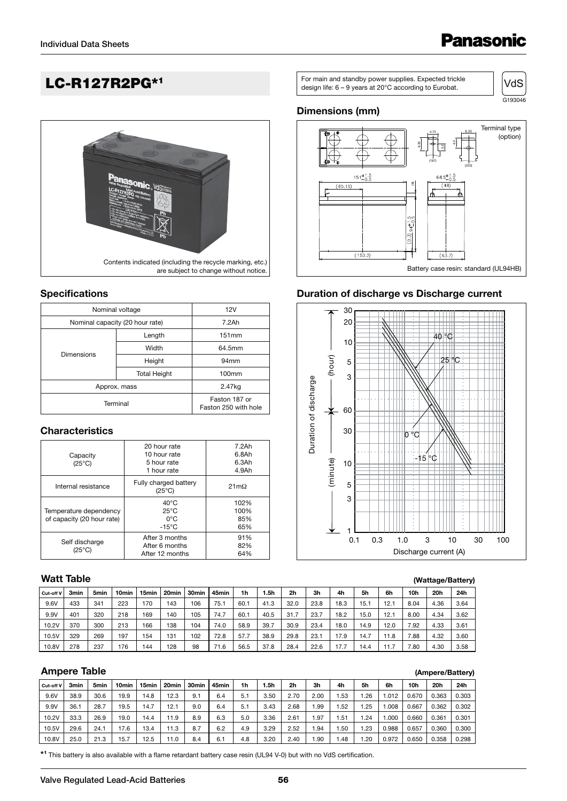# **Panasonic**

# **LC-R127R2PG\*1**



#### **Specifications**

|  |                   | Nominal voltage                       | 12V              |  |  |  |  |
|--|-------------------|---------------------------------------|------------------|--|--|--|--|
|  |                   | Nominal capacity (20 hour rate)       |                  |  |  |  |  |
|  |                   | Length                                | 151mm            |  |  |  |  |
|  | <b>Dimensions</b> | Width                                 | 64.5mm           |  |  |  |  |
|  |                   | Height                                | 94 <sub>mm</sub> |  |  |  |  |
|  |                   | <b>Total Height</b>                   | 100mm            |  |  |  |  |
|  | Approx. mass      | 2.47kg                                |                  |  |  |  |  |
|  | Terminal          | Faston 187 or<br>Faston 250 with hole |                  |  |  |  |  |

#### **Characteristics**

| Self discharge<br>$(25^{\circ}C)$                    | $-15^{\circ}$ C<br>After 3 months<br>After 6 months<br>After 12 months | 65%<br>91%<br>82%<br>64%         |  |  |
|------------------------------------------------------|------------------------------------------------------------------------|----------------------------------|--|--|
| Temperature dependency<br>of capacity (20 hour rate) | $40^{\circ}$ C<br>$25^{\circ}$ C<br>∩°C                                | 102%<br>100%<br>85%              |  |  |
| Internal resistance                                  | Fully charged battery<br>$(25^{\circ}C)$                               | $21m\Omega$                      |  |  |
| Capacity<br>$(25^{\circ}C)$                          | 20 hour rate<br>10 hour rate<br>5 hour rate<br>1 hour rate             | 7.2Ah<br>6.8Ah<br>6.3Ah<br>4.9Ah |  |  |

### **Watt Table**

|           |      |                  |                   |                   |                   |       |                   |      |       |                |                |      |      |      |      |      | - -  |
|-----------|------|------------------|-------------------|-------------------|-------------------|-------|-------------------|------|-------|----------------|----------------|------|------|------|------|------|------|
| Cut-off V | 3min | 5 <sub>min</sub> | 10 <sub>min</sub> | 15 <sub>min</sub> | 20 <sub>min</sub> | 30min | 45 <sub>min</sub> | 1h   | . .5h | 2 <sub>h</sub> | 3 <sub>h</sub> | 4h   | 5h   | 6h   | 10h  | 20h  | 24h  |
| 9.6V      | 433  | 341              | 223               | 170               | 143               | 106   | 75.1              | 60.7 | 41.3  | 32.0           | 23.8           | 18.3 | 15.1 | 12.1 | 8.04 | 4.36 | 3.64 |
| 9.9V      | 401  | 320              | 218               | 169               | 140               | 105   | 74.7              | 60.1 | 40.5  | 31.7           | 23.7           | 18.2 | 15.0 | 12.1 | 8.00 | 4.34 | 3.62 |
| 10.2V     | 370  | 300              | 213               | 166               | 138               | 104   | 74.0              | 58.9 | 39.7  | 30.9           | 23.4           | 18.0 | 14.9 | 12.0 | 7.92 | 4.33 | 3.61 |
| 10.5V     | 329  | 269              | 197               | 154               | 131               | 102   | 72.8              | 57.7 | 38.9  | 29.8           | 23.1           | 17.9 | 14.7 | 1.8  | 7.88 | 4.32 | 3.60 |
| 10.8V     | 278  | 237              | 176               | 144               | 128               | 98    | 71.6              | 56.5 | 37.8  | 28.4           | 22.6           | 17.7 | 14.4 | 1.7  | 7.80 | 4.30 | 3.58 |

### **Ampere Table**

| <b>Ampere Table</b><br>(Ampere/Battery) |                  |                  |                   |                   |                   |       |       |     |      |                |                |     |     |       |       |       |       |
|-----------------------------------------|------------------|------------------|-------------------|-------------------|-------------------|-------|-------|-----|------|----------------|----------------|-----|-----|-------|-------|-------|-------|
| Cut-off V                               | 3 <sub>min</sub> | 5 <sub>min</sub> | 10 <sub>min</sub> | 15 <sub>min</sub> | 20 <sub>min</sub> | 30min | 45min | 1h  | 1.5h | 2 <sub>h</sub> | 3 <sub>h</sub> | 4h  | 5h  | 6h    | 10h   | 20h   | 24h   |
| 9.6V                                    | 38.9             | 30.6             | 19.9              | 14.8              | 12.3              | 9.1   | 6.4   | 5.1 | 3.50 | 2.70           | 2.00           | .53 | .26 | .012  | 0.670 | 0.363 | 0.303 |
| 9.9V                                    | 36.1             | 28.7             | 19.5              | 14.7              | 12.1              | 9.0   | 6.4   | 5.1 | 3.43 | 2.68           | .99            | .52 | .25 | .008  | 0.667 | 0.362 | 0.302 |
| 10.2V                                   | 33.3             | 26.9             | 19.0              | 14.4              | 11.9              | 8.9   | 6.3   | 5.0 | 3.36 | 2.61           | . 97           | .51 | .24 | .000  | 0.660 | 0.361 | 0.301 |
| 10.5V                                   | 29.6             | 24.1             | 17.6              | 13.4              | 11.3              | 8.7   | 6.2   | 4.9 | 3.29 | 2.52           | .94            | .50 | .23 | 0.988 | 0.657 | 0.360 | 0.300 |
| 10.8V                                   | 25.0             | 21.3             | 15.7              | 12.5              | 11.0              | 8.4   | 6.1   | 4.8 | 3.20 | 2.40           | .90            | .48 | .20 | 0.972 | 0.650 | 0.358 | 0.298 |

**\*1** This battery is also available with a flame retardant battery case resin (UL94 V-0) but with no VdS certification.

For main and standby power supplies. Expected trickle For main and standby power supplies. Expected trickle<br>design life:  $6 - 9$  years at 20°C according to Eurobat.



#### **Dimensions (mm)**



#### **Duration of discharge vs Discharge current**



#### **(Wattage/Battery)**